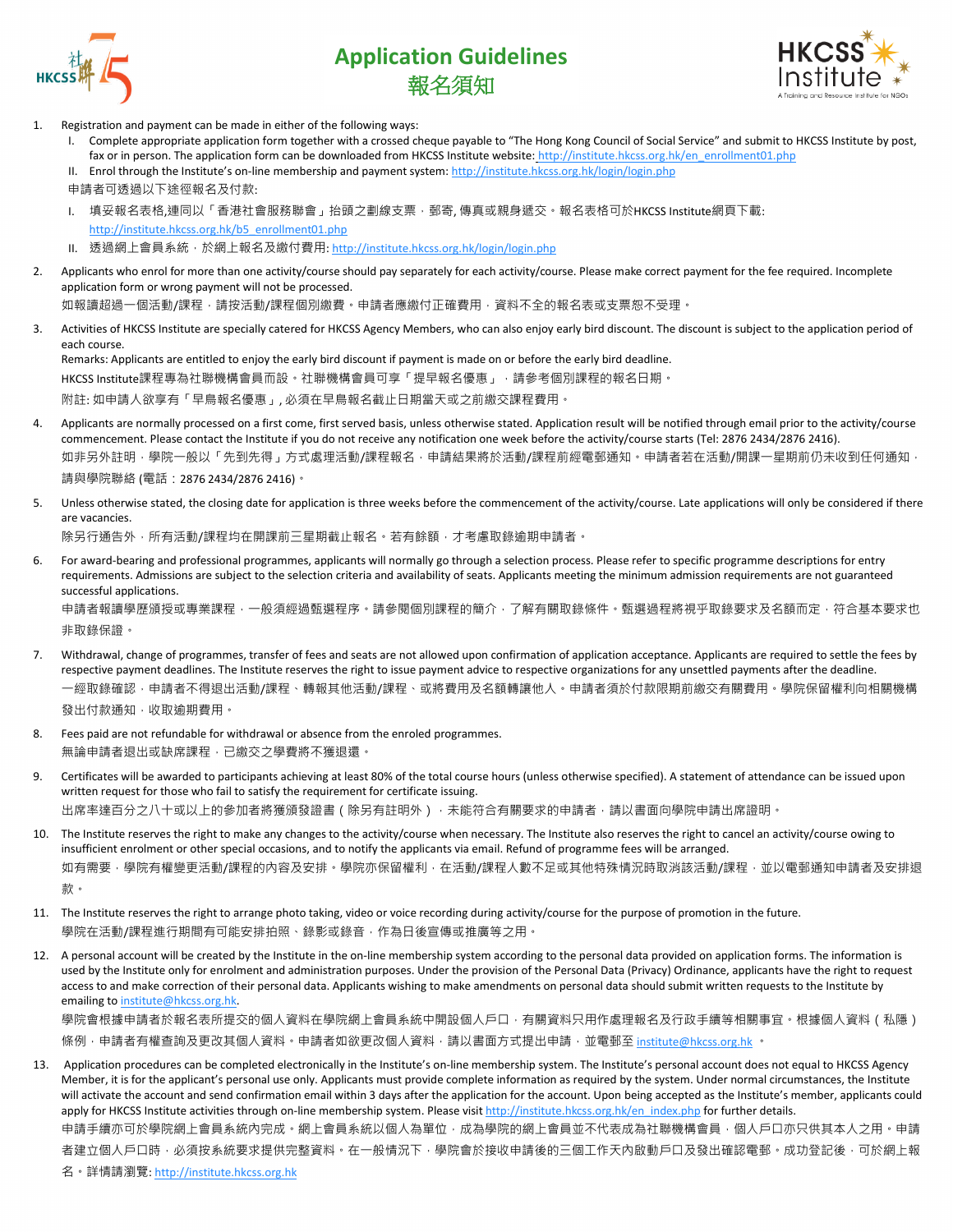

## **Application Guidelines** 報名須知



- Registration and payment can be made in either of the following ways:
	- I. Complete appropriate application form together with a crossed cheque payable to "The Hong Kong Council of Social Service" and submit to HKCSS Institute by post, fax or in person. The application form can be downloaded from HKCSS Institute website: [http://institute.hkcss.org.hk/en\\_enrollment01.php](http://institute.hkcss.org.hk/en_enrollment01.php)
	- II. Enrol through the Institute's on-line membership and payment system: http://institute.hkcss.org.hk/login/login.php
	- 申請者可透過以下途徑報名及付款:
	- I. 填妥報名表格,連同以「香港社會服務聯會」抬頭之劃線支票,郵寄,傳真或親身遞交。報名表格可於HKCSS Institute網頁下載: [http://institute.hkcss.org.hk/b5\\_enrollment01.php](http://institute.hkcss.org.hk/b5_enrollment01.php)
	- II. 透[過網上會員系統,](https://ielts.britishcouncil.org.hk/onlineExam/html/registration/selectExamTypeServlet.do)於網上報名及繳付費用: <http://institute.hkcss.org.hk/login/login.php>
- 2. Applicants who enrol for more than one activity/course should pay separately for each activity/course. Please make correct payment for the fee required. Incomplete application form or wrong payment will not be processed.

如報讀超過一個活動/課程,請按活動/課程個別繳費。申請者應繳付正確費用,資料不全的報名表或支票恕不受理。

3. Activities of HKCSS Institute are specially catered for HKCSS Agency Members, who can also enjoy early bird discount. The discount is subject to the application period of each course.

Remarks: Applicants are entitled to enjoy the early bird discount if payment is made on or before the early bird deadline.

HKCSS Institute課程專為社聯機構會員而設。社聯機構會員可享「提早報名優惠」,請參考個別課程的報名日期。

附註: 如申請人欲享有「早鳥報名優惠」, 必須在早鳥報名截止日期當天或之前繳交課程費用。

4. Applicants are normally processed on a first come, first served basis, unless otherwise stated. Application result will be notified through email prior to the activity/course commencement. Please contact the Institute if you do not receive any notification one week before the activity/course starts (Tel: 2876 2434/2876 2416). 如非另外註明,學院一般以「先到先得」方式處理活動/課程報名,申請結果將於活動/課程前經電郵通知。申請者若在活動/開課一星期前仍未收到任何通知,

請與學院聯絡 (電話:2876 2434/2876 2416)。

5. Unless otherwise stated, the closing date for application is three weeks before the commencement of the activity/course. Late applications will only be considered if there are vacancies.

除另行通告外,所有活動/課程均在開課前三星期截止報名。若有餘額,才考慮取錄逾期申請者。

6. For award-bearing and professional programmes, applicants will normally go through a selection process. Please refer to specific programme descriptions for entry requirements. Admissions are subject to the selection criteria and availability of seats. Applicants meeting the minimum admission requirements are not guaranteed successful applications.

申請者報讀學歷頒授或專業課程,一般須經過甄選程序。請參閱個別課程的簡介,了解有關取錄條件。甄選過程將視乎取錄要求及名額而定,符合基本要求也 非取錄保證。

- 7. Withdrawal, change of programmes, transfer of fees and seats are not allowed upon confirmation of application acceptance. Applicants are required to settle the fees by respective payment deadlines. The Institute reserves the right to issue payment advice to respective organizations for any unsettled payments after the deadline. 一經取錄確認﹐申請者不得退出活動/課程、轉報其他活動/課程﹑或將費用及名額轉讓他人。申請者須於付款限期前繳交有關費用。學院保留權利向相關機構 發出付款通知,收取逾期費用。
- Fees paid are not refundable for withdrawal or absence from the enroled programmes. 無論申請者退出或缺席課程,已繳交之學費將不獲退還。
- 9. Certificates will be awarded to participants achieving at least 80% of the total course hours (unless otherwise specified). A statement of attendance can be issued upon written request for those who fail to satisfy the requirement for certificate issuing. 出席率達百分之八十或以上的參加者將獲頒發證書(除另有註明外),未能符合有關要求的申請者,請以書面向學院申請出席證明。
- 10. The Institute reserves the right to make any changes to the activity/course when necessary. The Institute also reserves the right to cancel an activity/course owing to insufficient enrolment or other special occasions, and to notify the applicants via email. Refund of programme fees will be arranged. 如有需要,學院有權變更活動/課程的內容及安排。學院亦保留權利,在活動/課程人數不足或其他特殊情況時取消該活動/課程,並以電郵通知申請者及安排退 款。
- 11. The Institute reserves the right to arrange photo taking, video or voice recording during activity/course for the purpose of promotion in the future. 學院在活動/課程進行期間有可能安排拍照、錄影或錄音,作為日後宣傳或推廣等之用。
- 12. A personal account will be created by the Institute in the on-line membership system according to the personal data provided on application forms. The information is used by the Institute only for enrolment and administration purposes. Under the provision of the Personal Data (Privacy) Ordinance, applicants have the right to request access to and make correction of their personal data. Applicants wishing to make amendments on personal data should submit written requests to the Institute by emailing t[o institute@hkcss.org.hk.](mailto:institute@hkcss.org.hk)

學院會根據申請者於報名表所提交的個人資料在學院網上會員系統中開設個人戶口,有關資料只用作處理報名及行政手續等相關事宜。根據個人資料 ( 私隱 ) 條例, 申請者有權查詢及更改其個人資料, 申請者如欲更改個人資料, 請以書面方式提出申請, 並電郵至 [institute@hkcss.org.hk](mailto:institute@hkcss.org.hk) 。

13. Application procedures can be completed electronically in the Institute's on-line membership system. The Institute's personal account does not equal to HKCSS Agency Member, it is for the applicant's personal use only. Applicants must provide complete information as required by the system. Under normal circumstances, the Institute will activate the account and send confirmation email within 3 days after the application for the account. Upon being accepted as the Institute's member, applicants could apply for HKCSS Institute activities through on-line membership system. Please visit http://institute.hkcss.org.hk/en index.php for further details. 申請手續亦可於學院網上會員系統內完成。網上會員系統以個人為單位,成為學院的網上會員並不代表成為社聯機構會員,個人戶口亦只供其本人之用。申請 者建立個人戶口時,必須按系統要求提供完整資料。在一般情況下,學院會於接收申請後的三個工作天內啟動戶口及發出確認電郵。成功登記後,可於網上報

名·詳情請瀏覽: [http://institute.hkcss.org.hk](http://institute.hkcss.org.hk/)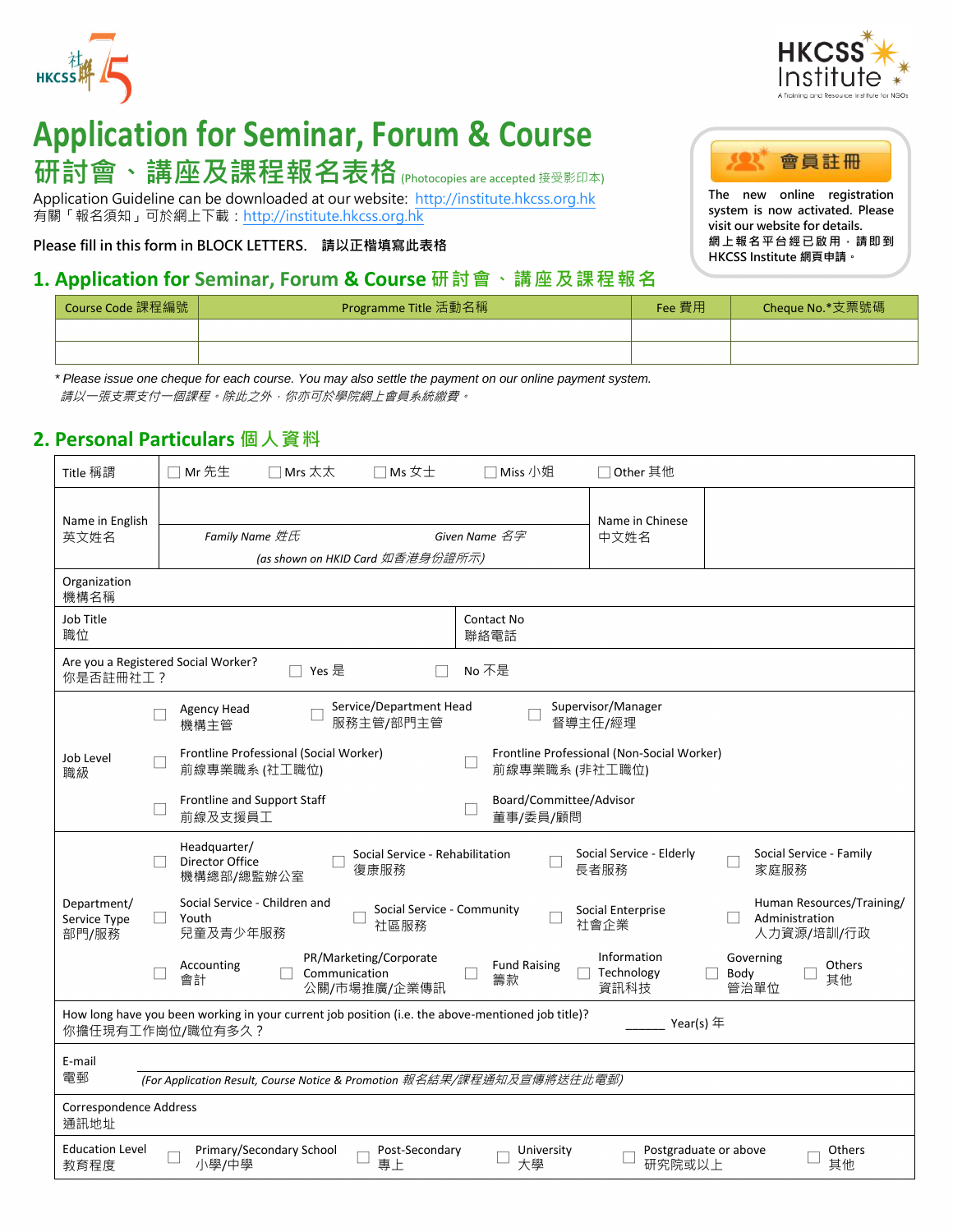



# **Application for Seminar, Forum & Course** 研討會、講座及課程報名表格 (Photocopies are accepted 接受影印本)

Application Guideline can be downloaded at our website: [http://institute.hkcss.org.hk](http://institute.hkcss.org.hk/) 有關「報名須知」可於網上下載: [http://institute.hkcss.org.hk](http://institute.hkcss.org.hk/)

**Please fill in this form in BLOCK LETTERS. 請以正楷填寫此表格**

### **1. Application for Seminar, Forum & Course 研討會、講座及課程報名**



**The new online registration system is now activated. Please visit our website for details. 網上報名平台經已啟用,請即到 HKCSS Institute 網頁申請。**

| Course Code 課程編號 | Programme Title 活動名稱 | Fee 費用 | Cheque No.*支票號碼 |
|------------------|----------------------|--------|-----------------|
|                  |                      |        |                 |
|                  |                      |        |                 |

 *\* Please issue one cheque for each course. You may also settle the payment on our online payment system.* 請以一張支票支付一個課程。除此之外,你亦可於學院網上會員系統繳費。

## **2. Personal Particulars 個人資料**

| Title 稱謂                                                                                                                                                           | Mr 先生<br>$\Box$ Mrs $\overline{\mathsf{A}}\overline{\mathsf{A}}$<br>$\Box$ Ms $xpm$      | □ Miss 小姐                           | □ Other 其他                                 |                                                           |  |  |  |
|--------------------------------------------------------------------------------------------------------------------------------------------------------------------|------------------------------------------------------------------------------------------|-------------------------------------|--------------------------------------------|-----------------------------------------------------------|--|--|--|
| Name in English<br>英文姓名                                                                                                                                            | Family Name 姓氏<br>(as shown on HKID Card 如香港身份證所示)                                       | Given Name 名字                       | Name in Chinese<br>中文姓名                    |                                                           |  |  |  |
| Organization<br>機構名稱                                                                                                                                               |                                                                                          |                                     |                                            |                                                           |  |  |  |
| Job Title<br>職位                                                                                                                                                    |                                                                                          | Contact No<br>聯絡電話                  |                                            |                                                           |  |  |  |
| Are you a Registered Social Worker?<br>□ Yes 是<br>No 不是<br>你是否註冊社工?                                                                                                |                                                                                          |                                     |                                            |                                                           |  |  |  |
|                                                                                                                                                                    | Service/Department Head<br>Agency Head<br>服務主管/部門主管<br>機構主管                              |                                     | Supervisor/Manager<br>督導主任/經理              |                                                           |  |  |  |
| Job Level<br>職級                                                                                                                                                    | Frontline Professional (Social Worker)<br>前線專業職系 (社工職位)                                  | 前線專業職系 (非社工職位)                      | Frontline Professional (Non-Social Worker) |                                                           |  |  |  |
|                                                                                                                                                                    | Frontline and Support Staff<br>前線及支援員工                                                   | Board/Committee/Advisor<br>董事/委員/顧問 |                                            |                                                           |  |  |  |
| Headquarter/<br>Social Service - Elderly<br>Social Service - Family<br>Social Service - Rehabilitation<br>Director Office<br>長者服務<br>家庭服務<br>復康服務<br>機構總部/總監辦公室    |                                                                                          |                                     |                                            |                                                           |  |  |  |
| Department/<br>Service Type<br>部門/服務                                                                                                                               | Social Service - Children and<br>Social Service - Community<br>Youth<br>社區服務<br>兒童及青少年服務 |                                     | Social Enterprise<br>社會企業                  | Human Resources/Training/<br>Administration<br>人力資源/培訓/行政 |  |  |  |
|                                                                                                                                                                    | PR/Marketing/Corporate<br>Accounting<br>Communication<br>會計<br>公關/市場推廣/企業傳訊              | <b>Fund Raising</b><br>П<br>籌款      | Information<br>Technology<br>資訊科技          | Governing<br>Others<br>Г<br>Body<br>其他<br>管治單位            |  |  |  |
| How long have you been working in your current job position (i.e. the above-mentioned job title)?<br>Year(s) 年<br>你擔任現有工作崗位/職位有多久?                                 |                                                                                          |                                     |                                            |                                                           |  |  |  |
| E-mail<br>電郵<br>(For Application Result, Course Notice & Promotion 報名結果/課程通知及宣傳將送往此電郵)                                                                             |                                                                                          |                                     |                                            |                                                           |  |  |  |
| Correspondence Address<br>通訊地址                                                                                                                                     |                                                                                          |                                     |                                            |                                                           |  |  |  |
| Primary/Secondary School<br><b>Education Level</b><br>Post-Secondary<br>Postgraduate or above<br>Others<br>University<br>研究院或以上<br>小學/中學<br>其他<br>專上<br>大學<br>教育程度 |                                                                                          |                                     |                                            |                                                           |  |  |  |